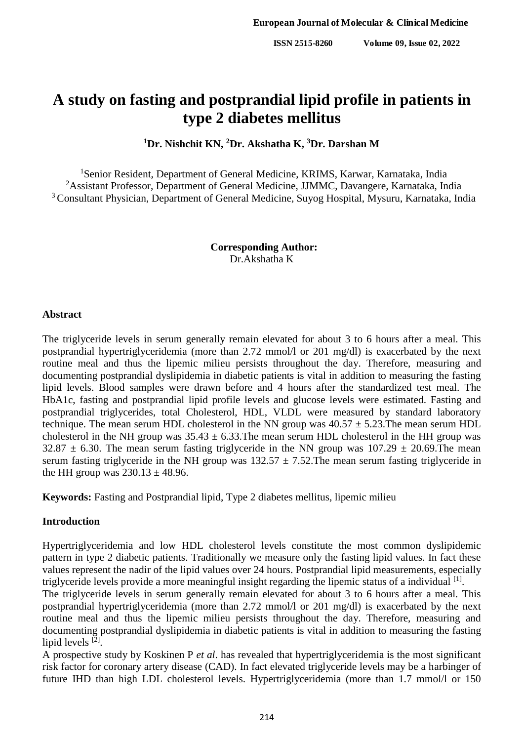# **A study on fasting and postprandial lipid profile in patients in type 2 diabetes mellitus**

**<sup>1</sup>Dr. Nishchit KN, <sup>2</sup>Dr. Akshatha K, <sup>3</sup>Dr. Darshan M**

<sup>1</sup>Senior Resident, Department of General Medicine, KRIMS, Karwar, Karnataka, India <sup>2</sup>Assistant Professor, Department of General Medicine, JJMMC, Davangere, Karnataka, India <sup>3</sup> Consultant Physician, Department of General Medicine, Suyog Hospital, Mysuru, Karnataka, India

> **Corresponding Author:** Dr.Akshatha K

#### **Abstract**

The triglyceride levels in serum generally remain elevated for about 3 to 6 hours after a meal. This postprandial hypertriglyceridemia (more than 2.72 mmol/l or 201 mg/dl) is exacerbated by the next routine meal and thus the lipemic milieu persists throughout the day. Therefore, measuring and documenting postprandial dyslipidemia in diabetic patients is vital in addition to measuring the fasting lipid levels. Blood samples were drawn before and 4 hours after the standardized test meal. The HbA1c, fasting and postprandial lipid profile levels and glucose levels were estimated. Fasting and postprandial triglycerides, total Cholesterol, HDL, VLDL were measured by standard laboratory technique. The mean serum HDL cholesterol in the NN group was  $40.57 \pm 5.23$ . The mean serum HDL cholesterol in the NH group was  $35.43 \pm 6.33$ . The mean serum HDL cholesterol in the HH group was  $32.87 \pm 6.30$ . The mean serum fasting triglyceride in the NN group was  $107.29 \pm 20.69$ . The mean serum fasting triglyceride in the NH group was  $132.57 \pm 7.52$ . The mean serum fasting triglyceride in the HH group was  $230.13 \pm 48.96$ .

**Keywords:** Fasting and Postprandial lipid, Type 2 diabetes mellitus, lipemic milieu

## **Introduction**

Hypertriglyceridemia and low HDL cholesterol levels constitute the most common dyslipidemic pattern in type 2 diabetic patients. Traditionally we measure only the fasting lipid values. In fact these values represent the nadir of the lipid values over 24 hours. Postprandial lipid measurements, especially triglyceride levels provide a more meaningful insight regarding the lipemic status of a individual [1].

The triglyceride levels in serum generally remain elevated for about 3 to 6 hours after a meal. This postprandial hypertriglyceridemia (more than 2.72 mmol/l or 201 mg/dl) is exacerbated by the next routine meal and thus the lipemic milieu persists throughout the day. Therefore, measuring and documenting postprandial dyslipidemia in diabetic patients is vital in addition to measuring the fasting lipid levels [2].

A prospective study by Koskinen P *et al*. has revealed that hypertriglyceridemia is the most significant risk factor for coronary artery disease (CAD). In fact elevated triglyceride levels may be a harbinger of future IHD than high LDL cholesterol levels. Hypertriglyceridemia (more than 1.7 mmol/l or 150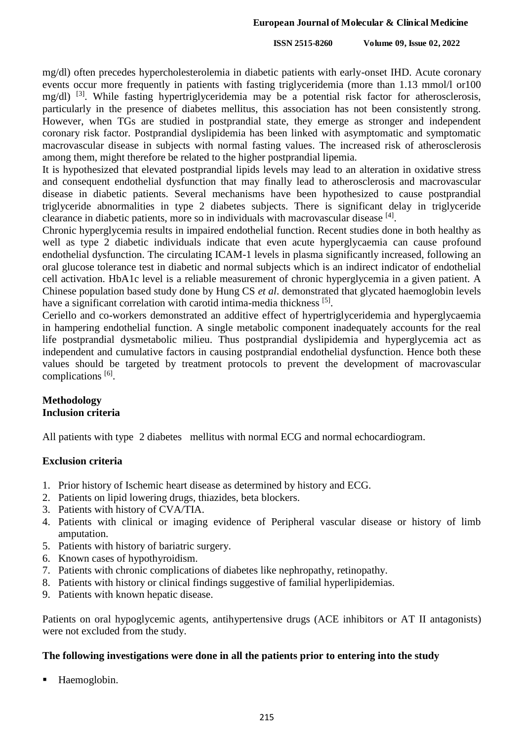**ISSN 2515-8260 Volume 09, Issue 02, 2022**

mg/dl) often precedes hypercholesterolemia in diabetic patients with early-onset IHD. Acute coronary events occur more frequently in patients with fasting triglyceridemia (more than 1.13 mmol/l or100 mg/dl)<sup>[3]</sup>. While fasting hypertriglyceridemia may be a potential risk factor for atherosclerosis, particularly in the presence of diabetes mellitus, this association has not been consistently strong. However, when TGs are studied in postprandial state, they emerge as stronger and independent coronary risk factor. Postprandial dyslipidemia has been linked with asymptomatic and symptomatic macrovascular disease in subjects with normal fasting values. The increased risk of atherosclerosis among them, might therefore be related to the higher postprandial lipemia.

It is hypothesized that elevated postprandial lipids levels may lead to an alteration in oxidative stress and consequent endothelial dysfunction that may finally lead to atherosclerosis and macrovascular disease in diabetic patients. Several mechanisms have been hypothesized to cause postprandial triglyceride abnormalities in type 2 diabetes subjects. There is significant delay in triglyceride clearance in diabetic patients, more so in individuals with macrovascular disease [4].

Chronic hyperglycemia results in impaired endothelial function. Recent studies done in both healthy as well as type 2 diabetic individuals indicate that even acute hyperglycaemia can cause profound endothelial dysfunction. The circulating ICAM-1 levels in plasma significantly increased, following an oral glucose tolerance test in diabetic and normal subjects which is an indirect indicator of endothelial cell activation. HbA1c level is a reliable measurement of chronic hyperglycemia in a given patient. A Chinese population based study done by Hung CS *et al*. demonstrated that glycated haemoglobin levels have a significant correlation with carotid intima-media thickness [5].

Ceriello and co-workers demonstrated an additive effect of hypertriglyceridemia and hyperglycaemia in hampering endothelial function. A single metabolic component inadequately accounts for the real life postprandial dysmetabolic milieu. Thus postprandial dyslipidemia and hyperglycemia act as independent and cumulative factors in causing postprandial endothelial dysfunction. Hence both these values should be targeted by treatment protocols to prevent the development of macrovascular complications [6].

# **Methodology Inclusion criteria**

All patients with type 2 diabetes mellitus with normal ECG and normal echocardiogram.

## **Exclusion criteria**

- 1. Prior history of Ischemic heart disease as determined by history and ECG.
- 2. Patients on lipid lowering drugs, thiazides, beta blockers.
- 3. Patients with history of CVA/TIA.
- 4. Patients with clinical or imaging evidence of Peripheral vascular disease or history of limb amputation.
- 5. Patients with history of bariatric surgery.
- 6. Known cases of hypothyroidism.
- 7. Patients with chronic complications of diabetes like nephropathy, retinopathy.
- 8. Patients with history or clinical findings suggestive of familial hyperlipidemias.
- 9. Patients with known hepatic disease.

Patients on oral hypoglycemic agents, antihypertensive drugs (ACE inhibitors or AT II antagonists) were not excluded from the study.

## **The following investigations were done in all the patients prior to entering into the study**

Haemoglobin.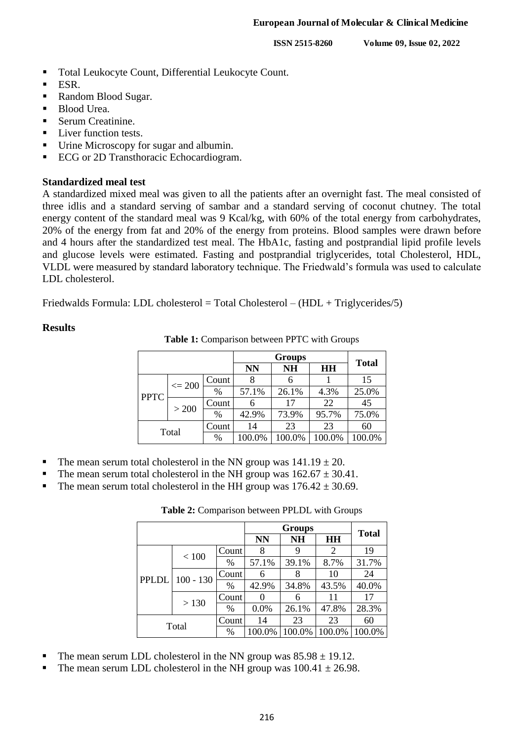**ISSN 2515-8260 Volume 09, Issue 02, 2022**

- Total Leukocyte Count, Differential Leukocyte Count.
- ESR.
- Random Blood Sugar.
- Blood Urea.
- Serum Creatinine.
- Liver function tests.
- Urine Microscopy for sugar and albumin.
- ECG or 2D Transthoracic Echocardiogram.

#### **Standardized meal test**

A standardized mixed meal was given to all the patients after an overnight fast. The meal consisted of three idlis and a standard serving of sambar and a standard serving of coconut chutney. The total energy content of the standard meal was 9 Kcal/kg, with 60% of the total energy from carbohydrates, 20% of the energy from fat and 20% of the energy from proteins. Blood samples were drawn before and 4 hours after the standardized test meal. The HbA1c, fasting and postprandial lipid profile levels and glucose levels were estimated. Fasting and postprandial triglycerides, total Cholesterol, HDL, VLDL were measured by standard laboratory technique. The Friedwald's formula was used to calculate LDL cholesterol.

Friedwalds Formula: LDL cholesterol = Total Cholesterol – (HDL + Triglycerides/5)

#### **Results**

**Table 1:** Comparison between PPTC with Groups

|             |                  |       | <b>NN</b> | <b>NH</b> | HH     | <b>Total</b> |
|-------------|------------------|-------|-----------|-----------|--------|--------------|
|             | $\epsilon = 200$ | Count |           | 6         |        | 15           |
| <b>PPTC</b> |                  | $\%$  | 57.1%     | 26.1%     | 4.3%   | 25.0%        |
|             | > 200            | Count | 6         | 17        | 22     | 45           |
|             |                  | $\%$  | 42.9%     | 73.9%     | 95.7%  | 75.0%        |
| Total       |                  | Count | 14        | 23        | 23     | 60           |
|             |                  | %     | 100.0%    | 100.0%    | 100.0% | 100.0%       |

- The mean serum total cholesterol in the NN group was  $141.19 \pm 20$ .
- The mean serum total cholesterol in the NH group was  $162.67 \pm 30.41$ .
- The mean serum total cholesterol in the HH group was  $176.42 \pm 30.69$ .

**Table 2:** Comparison between PPLDL with Groups

|       |                          |       |           | <b>Total</b> |           |        |
|-------|--------------------------|-------|-----------|--------------|-----------|--------|
|       |                          |       | <b>NN</b> | <b>NH</b>    | <b>HH</b> |        |
|       | $<100$                   | Count | 8         | 9            | 2         | 19     |
|       |                          | $\%$  | 57.1%     | 39.1%        | 8.7%      | 31.7%  |
|       | PPLDL 100 - 130<br>> 130 | Count | 6         | 8            | 10        | 24     |
|       |                          | $\%$  | 42.9%     | 34.8%        | 43.5%     | 40.0%  |
|       |                          | Count |           | 6            | 11        | 17     |
|       |                          | $\%$  | 0.0%      | 26.1%        | 47.8%     | 28.3%  |
| Total |                          | Count | 14        | 23           | 23        | 60     |
|       |                          | %     | 100.0%    | 100.0%       | 100.0%    | 100.0% |

- The mean serum LDL cholesterol in the NN group was  $85.98 \pm 19.12$ .
- The mean serum LDL cholesterol in the NH group was  $100.41 \pm 26.98$ .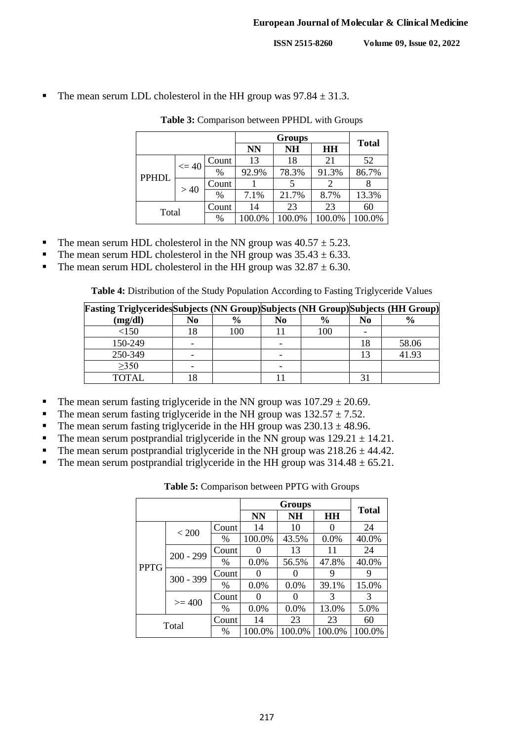The mean serum LDL cholesterol in the HH group was  $97.84 \pm 31.3$ .

|              |           |       | <b>NN</b> | <b>NH</b> | <b>HH</b> | <b>Total</b> |
|--------------|-----------|-------|-----------|-----------|-----------|--------------|
|              | $\leq 40$ | Count | 13        | 18        | 21        | 52           |
| <b>PPHDL</b> |           | $\%$  | 92.9%     | 78.3%     | 91.3%     | 86.7%        |
|              | >40       | Count |           |           |           |              |
|              |           | $\%$  | 7.1%      | 21.7%     | 8.7%      | 13.3%        |
| Total        |           | Count | 14        | 23        | 23        | 60           |
|              |           | %     | 100.0%    | 100.0%    | 100.0%    | 100.0%       |

**Table 3:** Comparison between PPHDL with Groups

- The mean serum HDL cholesterol in the NN group was  $40.57 \pm 5.23$ .
- The mean serum HDL cholesterol in the NH group was  $35.43 \pm 6.33$ .
- The mean serum HDL cholesterol in the HH group was  $32.87 \pm 6.30$ .

**Table 4:** Distribution of the Study Population According to Fasting Triglyceride Values

| <b>Fasting Triglycerides</b> Subjects (NN Group) Subjects (NH Group) Subjects (HH Group) |    |               |    |               |                |               |
|------------------------------------------------------------------------------------------|----|---------------|----|---------------|----------------|---------------|
| (mg/dl)                                                                                  | No | $\frac{6}{9}$ | No | $\frac{6}{9}$ | N <sub>0</sub> | $\frac{6}{9}$ |
| <150                                                                                     |    | 100           |    | 100           |                |               |
| 150-249                                                                                  |    |               |    |               | 18             | 58.06         |
| 250-349                                                                                  |    |               |    |               |                | 41.93         |
| $\geq 350$                                                                               |    |               | -  |               |                |               |
| TOTAL                                                                                    |    |               |    |               |                |               |

- The mean serum fasting triglyceride in the NN group was  $107.29 \pm 20.69$ .
- The mean serum fasting triglyceride in the NH group was  $132.57 \pm 7.52$ .
- The mean serum fasting triglyceride in the HH group was  $230.13 \pm 48.96$ .
- The mean serum postprandial triglyceride in the NN group was  $129.21 \pm 14.21$ .
- The mean serum postprandial triglyceride in the NH group was  $218.26 \pm 44.42$ .
- The mean serum postprandial triglyceride in the HH group was  $314.48 \pm 65.21$ .

| <b>Table 5:</b> Comparison between PPTG with Groups |  |
|-----------------------------------------------------|--|
|-----------------------------------------------------|--|

|             |             |               |                   | <b>Total</b> |        |        |
|-------------|-------------|---------------|-------------------|--------------|--------|--------|
|             |             |               | <b>NN</b>         | <b>NH</b>    | HH     |        |
|             | < 200       | Count         | 14                | 10           |        | 24     |
|             |             | %             | 100.0%            | 43.5%        | 0.0%   | 40.0%  |
|             | $200 - 299$ | Count         |                   | 13           | 11     | 24     |
| <b>PPTG</b> |             | $\%$          | $0.0\%$           | 56.5%        | 47.8%  | 40.0%  |
|             | $300 - 399$ | Count         |                   |              | 9      |        |
|             |             | $\frac{0}{0}$ | $0.0\%$           | $0.0\%$      | 39.1%  | 15.0%  |
|             | $>= 400$    | Count         | $\mathbf{\Omega}$ |              | 3      | 3      |
|             |             | $\%$          | $0.0\%$           | 0.0%         | 13.0%  | 5.0%   |
| Total       |             | Count         | 14                | 23           | 23     | 60     |
|             |             | %             | 100.0%            | 100.0%       | 100.0% | 100.0% |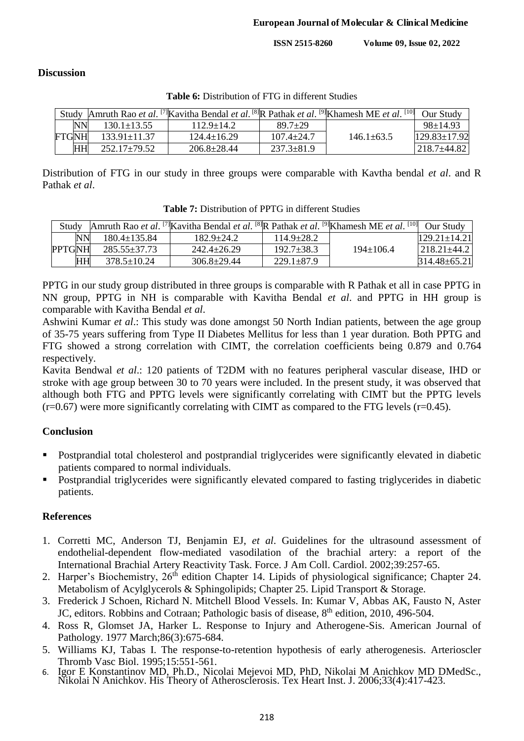**ISSN 2515-8260 Volume 09, Issue 02, 2022**

## **Discussion**

|              |           |                    | Study  Amruth Rao et al. [7] Kavitha Bendal et al. [8] R Pathak et al. [9] Khamesh ME et al. |                  |                | $[10]$ Our Study   |
|--------------|-----------|--------------------|----------------------------------------------------------------------------------------------|------------------|----------------|--------------------|
|              | <b>NN</b> | $130.1 \pm 13.55$  | $112.9 \pm 14.2$                                                                             | $89.7+29$        |                | $98 \pm 14.93$     |
| <b>FTGNH</b> |           | $133.91 \pm 11.37$ | $124.4 \pm 16.29$                                                                            | $107.4 \pm 24.7$ | $146.1 + 63.5$ | $129.83 \pm 17.92$ |
|              | HH        | $252.17 \pm 79.52$ | $206.8 \pm 28.44$                                                                            | $237.3 \pm 81.9$ |                | $218.7 \pm 44.82$  |

**Table 6:** Distribution of FTG in different Studies

Distribution of FTG in our study in three groups were comparable with Kavtha bendal *et al*. and R Pathak *et al*.

| Study         |           |                    | Amruth Rao et al. <sup>[7]</sup> Kavitha Bendal et al. <sup>[8]</sup> R Pathak et al. <sup>[9]</sup> Khamesh ME et al. <sup>[10]</sup> Our Study |                  |                 |                      |
|---------------|-----------|--------------------|--------------------------------------------------------------------------------------------------------------------------------------------------|------------------|-----------------|----------------------|
|               | NN        | $180.4 \pm 135.84$ | $182.9 \pm 24.2$                                                                                                                                 | $114.9 \pm 28.2$ |                 | $[129.21 \pm 14.21]$ |
| <b>PPTGNH</b> |           | 285.55±37.73       | $242.4 \pm 26.29$                                                                                                                                | $192.7 \pm 38.3$ | $194 \pm 106.4$ | $ 218.21 \pm 44.2 $  |
|               | <b>HH</b> | $378.5 \pm 10.24$  | $306.8 \pm 29.44$                                                                                                                                | $229.1 \pm 87.9$ |                 | $314.48 \pm 65.21$   |

**Table 7:** Distribution of PPTG in different Studies

PPTG in our study group distributed in three groups is comparable with R Pathak et all in case PPTG in NN group, PPTG in NH is comparable with Kavitha Bendal *et al*. and PPTG in HH group is comparable with Kavitha Bendal *et al*.

Ashwini Kumar *et al*.: This study was done amongst 50 North Indian patients, between the age group of 35-75 years suffering from Type II Diabetes Mellitus for less than 1 year duration. Both PPTG and FTG showed a strong correlation with CIMT, the correlation coefficients being 0.879 and 0.764 respectively.

Kavita Bendwal *et al*.: 120 patients of T2DM with no features peripheral vascular disease, IHD or stroke with age group between 30 to 70 years were included. In the present study, it was observed that although both FTG and PPTG levels were significantly correlating with CIMT but the PPTG levels  $(r=0.67)$  were more significantly correlating with CIMT as compared to the FTG levels  $(r=0.45)$ .

# **Conclusion**

- Postprandial total cholesterol and postprandial triglycerides were significantly elevated in diabetic patients compared to normal individuals.
- Postprandial triglycerides were significantly elevated compared to fasting triglycerides in diabetic patients.

## **References**

- 1. Corretti MC, Anderson TJ, Benjamin EJ, *et al*. Guidelines for the ultrasound assessment of endothelial-dependent flow-mediated vasodilation of the brachial artery: a report of the International Brachial Artery Reactivity Task. Force. J Am Coll. Cardiol. 2002;39:257-65.
- 2. Harper's Biochemistry, 26<sup>th</sup> edition Chapter 14. Lipids of physiological significance; Chapter 24. Metabolism of Acylglycerols & Sphingolipids; Chapter 25. Lipid Transport & Storage.
- 3. Frederick J Schoen, Richard N. Mitchell Blood Vessels. In: Kumar V, Abbas AK, Fausto N, Aster JC, editors. Robbins and Cotraan; Pathologic basis of disease, 8<sup>th</sup> edition, 2010, 496-504.
- 4. Ross R, Glomset JA, Harker L. Response to Injury and Atherogene-Sis. American Journal of Pathology. 1977 March;86(3):675-684.
- 5. Williams KJ, Tabas I. The response-to-retention hypothesis of early atherogenesis. Arterioscler Thromb Vasc Biol. 1995;15:551-561.
- 6. Igor E Konstantinov MD, Ph.D., Nicolai Mejevoi MD, PhD, Nikolai M Anichkov MD DMedSc., Nikolai N Anichkov. His Theory of Atherosclerosis. Tex Heart Inst. J. 2006;33(4):417-423.